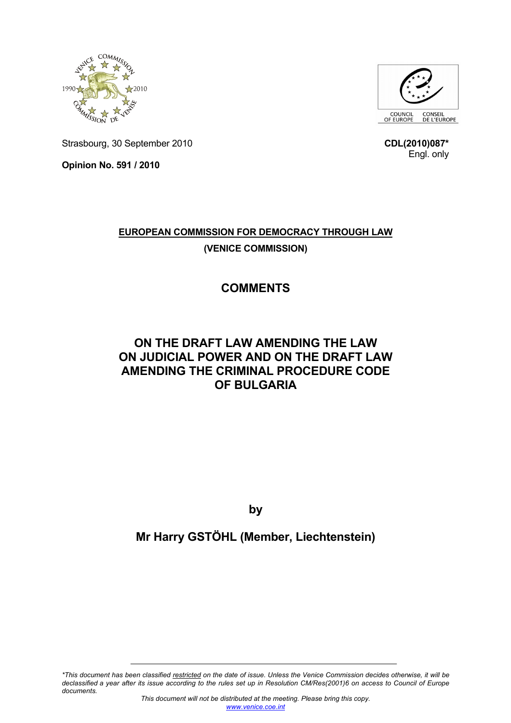



Strasbourg, 30 September 2010

**Opinion No. 591 / 2010** 

Engl. only

**CDL(2010)087\***

## **EUROPEAN COMMISSION FOR DEMOCRACY THROUGH LAW (VENICE COMMISSION)**

# **COMMENTS**

### **ON THE DRAFT LAW AMENDING THE LAW ON JUDICIAL POWER AND ON THE DRAFT LAW AMENDING THE CRIMINAL PROCEDURE CODE OF BULGARIA**

**by** 

# **Mr Harry GSTÖHL (Member, Liechtenstein)**

*\*This document has been classified restricted on the date of issue. Unless the Venice Commission decides otherwise, it will be declassified a year after its issue according to the rules set up in Resolution CM/Res(2001)6 on access to Council of Europe documents.*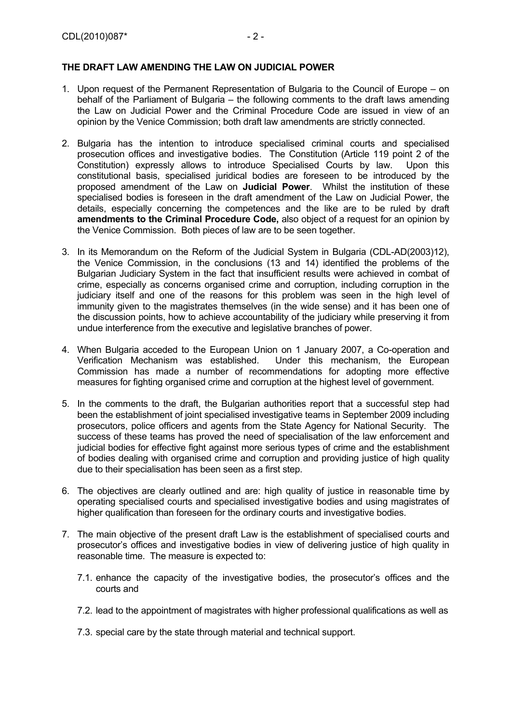#### **THE DRAFT LAW AMENDING THE LAW ON JUDICIAL POWER**

- 1. Upon request of the Permanent Representation of Bulgaria to the Council of Europe on behalf of the Parliament of Bulgaria – the following comments to the draft laws amending the Law on Judicial Power and the Criminal Procedure Code are issued in view of an opinion by the Venice Commission; both draft law amendments are strictly connected.
- 2. Bulgaria has the intention to introduce specialised criminal courts and specialised prosecution offices and investigative bodies. The Constitution (Article 119 point 2 of the Constitution) expressly allows to introduce Specialised Courts by law. Upon this constitutional basis, specialised juridical bodies are foreseen to be introduced by the proposed amendment of the Law on **Judicial Power**. Whilst the institution of these specialised bodies is foreseen in the draft amendment of the Law on Judicial Power, the details, especially concerning the competences and the like are to be ruled by draft **amendments to the Criminal Procedure Code,** also object of a request for an opinion by the Venice Commission. Both pieces of law are to be seen together.
- 3. In its Memorandum on the Reform of the Judicial System in Bulgaria (CDL-AD(2003)12), the Venice Commission, in the conclusions (13 and 14) identified the problems of the Bulgarian Judiciary System in the fact that insufficient results were achieved in combat of crime, especially as concerns organised crime and corruption, including corruption in the judiciary itself and one of the reasons for this problem was seen in the high level of immunity given to the magistrates themselves (in the wide sense) and it has been one of the discussion points, how to achieve accountability of the judiciary while preserving it from undue interference from the executive and legislative branches of power.
- 4. When Bulgaria acceded to the European Union on 1 January 2007, a Co-operation and Verification Mechanism was established. Under this mechanism, the European Commission has made a number of recommendations for adopting more effective measures for fighting organised crime and corruption at the highest level of government.
- 5. In the comments to the draft, the Bulgarian authorities report that a successful step had been the establishment of joint specialised investigative teams in September 2009 including prosecutors, police officers and agents from the State Agency for National Security. The success of these teams has proved the need of specialisation of the law enforcement and judicial bodies for effective fight against more serious types of crime and the establishment of bodies dealing with organised crime and corruption and providing justice of high quality due to their specialisation has been seen as a first step.
- 6. The objectives are clearly outlined and are: high quality of justice in reasonable time by operating specialised courts and specialised investigative bodies and using magistrates of higher qualification than foreseen for the ordinary courts and investigative bodies.
- 7. The main objective of the present draft Law is the establishment of specialised courts and prosecutor's offices and investigative bodies in view of delivering justice of high quality in reasonable time. The measure is expected to:
	- 7.1. enhance the capacity of the investigative bodies, the prosecutor's offices and the courts and
	- 7.2. lead to the appointment of magistrates with higher professional qualifications as well as
	- 7.3. special care by the state through material and technical support.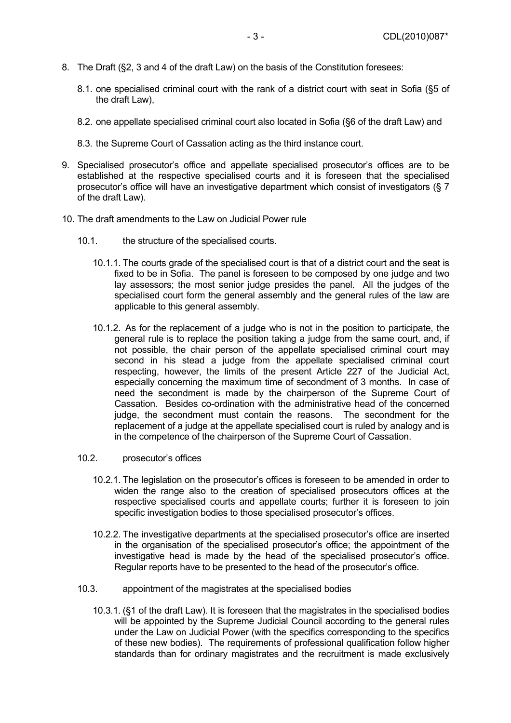- 8. The Draft (§2, 3 and 4 of the draft Law) on the basis of the Constitution foresees:
	- 8.1. one specialised criminal court with the rank of a district court with seat in Sofia (§5 of the draft Law),
	- 8.2. one appellate specialised criminal court also located in Sofia (§6 of the draft Law) and
	- 8.3. the Supreme Court of Cassation acting as the third instance court.
- 9. Specialised prosecutor's office and appellate specialised prosecutor's offices are to be established at the respective specialised courts and it is foreseen that the specialised prosecutor's office will have an investigative department which consist of investigators (§ 7 of the draft Law).
- 10. The draft amendments to the Law on Judicial Power rule
	- 10.1. the structure of the specialised courts.
		- 10.1.1. The courts grade of the specialised court is that of a district court and the seat is fixed to be in Sofia. The panel is foreseen to be composed by one judge and two lay assessors; the most senior judge presides the panel. All the judges of the specialised court form the general assembly and the general rules of the law are applicable to this general assembly.
		- 10.1.2. As for the replacement of a judge who is not in the position to participate, the general rule is to replace the position taking a judge from the same court, and, if not possible, the chair person of the appellate specialised criminal court may second in his stead a judge from the appellate specialised criminal court respecting, however, the limits of the present Article 227 of the Judicial Act, especially concerning the maximum time of secondment of 3 months. In case of need the secondment is made by the chairperson of the Supreme Court of Cassation. Besides co-ordination with the administrative head of the concerned judge, the secondment must contain the reasons. The secondment for the replacement of a judge at the appellate specialised court is ruled by analogy and is in the competence of the chairperson of the Supreme Court of Cassation.
	- 10.2. prosecutor's offices
		- 10.2.1. The legislation on the prosecutor's offices is foreseen to be amended in order to widen the range also to the creation of specialised prosecutors offices at the respective specialised courts and appellate courts; further it is foreseen to join specific investigation bodies to those specialised prosecutor's offices.
		- 10.2.2. The investigative departments at the specialised prosecutor's office are inserted in the organisation of the specialised prosecutor's office; the appointment of the investigative head is made by the head of the specialised prosecutor's office. Regular reports have to be presented to the head of the prosecutor's office.
	- 10.3. appointment of the magistrates at the specialised bodies
		- 10.3.1. (§1 of the draft Law). It is foreseen that the magistrates in the specialised bodies will be appointed by the Supreme Judicial Council according to the general rules under the Law on Judicial Power (with the specifics corresponding to the specifics of these new bodies). The requirements of professional qualification follow higher standards than for ordinary magistrates and the recruitment is made exclusively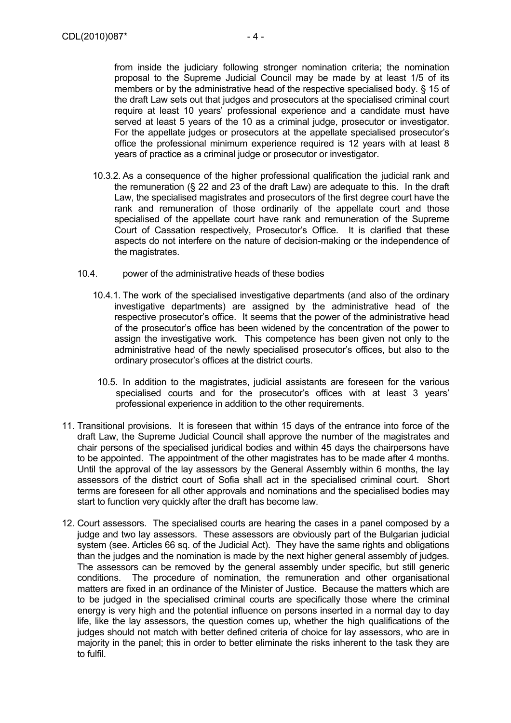from inside the judiciary following stronger nomination criteria; the nomination proposal to the Supreme Judicial Council may be made by at least 1/5 of its members or by the administrative head of the respective specialised body. § 15 of the draft Law sets out that judges and prosecutors at the specialised criminal court require at least 10 years' professional experience and a candidate must have served at least 5 years of the 10 as a criminal judge, prosecutor or investigator. For the appellate judges or prosecutors at the appellate specialised prosecutor's office the professional minimum experience required is 12 years with at least 8 years of practice as a criminal judge or prosecutor or investigator.

- 10.3.2. As a consequence of the higher professional qualification the judicial rank and the remuneration (§ 22 and 23 of the draft Law) are adequate to this. In the draft Law, the specialised magistrates and prosecutors of the first degree court have the rank and remuneration of those ordinarily of the appellate court and those specialised of the appellate court have rank and remuneration of the Supreme Court of Cassation respectively, Prosecutor's Office. It is clarified that these aspects do not interfere on the nature of decision-making or the independence of the magistrates.
- 10.4. power of the administrative heads of these bodies
	- 10.4.1. The work of the specialised investigative departments (and also of the ordinary investigative departments) are assigned by the administrative head of the respective prosecutor's office. It seems that the power of the administrative head of the prosecutor's office has been widened by the concentration of the power to assign the investigative work. This competence has been given not only to the administrative head of the newly specialised prosecutor's offices, but also to the ordinary prosecutor's offices at the district courts.
		- 10.5. In addition to the magistrates, judicial assistants are foreseen for the various specialised courts and for the prosecutor's offices with at least 3 years' professional experience in addition to the other requirements.
- 11. Transitional provisions. It is foreseen that within 15 days of the entrance into force of the draft Law, the Supreme Judicial Council shall approve the number of the magistrates and chair persons of the specialised juridical bodies and within 45 days the chairpersons have to be appointed. The appointment of the other magistrates has to be made after 4 months. Until the approval of the lay assessors by the General Assembly within 6 months, the lay assessors of the district court of Sofia shall act in the specialised criminal court. Short terms are foreseen for all other approvals and nominations and the specialised bodies may start to function very quickly after the draft has become law.
- 12. Court assessors. The specialised courts are hearing the cases in a panel composed by a judge and two lay assessors. These assessors are obviously part of the Bulgarian judicial system (see. Articles 66 sq. of the Judicial Act). They have the same rights and obligations than the judges and the nomination is made by the next higher general assembly of judges. The assessors can be removed by the general assembly under specific, but still generic conditions. The procedure of nomination, the remuneration and other organisational matters are fixed in an ordinance of the Minister of Justice. Because the matters which are to be judged in the specialised criminal courts are specifically those where the criminal energy is very high and the potential influence on persons inserted in a normal day to day life, like the lay assessors, the question comes up, whether the high qualifications of the judges should not match with better defined criteria of choice for lay assessors, who are in majority in the panel; this in order to better eliminate the risks inherent to the task they are to fulfil.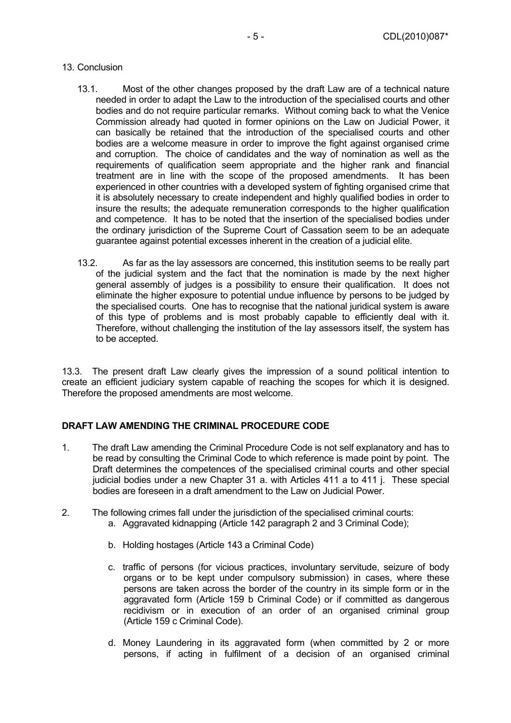### 13. Conclusion

- 13.1. Most of the other changes proposed by the draft Law are of a technical nature needed in order to adapt the Law to the introduction of the specialised courts and other bodies and do not require particular remarks. Without coming back to what the Venice Commission already had quoted in former opinions on the Law on Judicial Power, it can basically be retained that the introduction of the specialised courts and other bodies are a welcome measure in order to improve the fight against organised crime and corruption. The choice of candidates and the way of nomination as well as the requirements of qualification seem appropriate and the higher rank and financial treatment are in line with the scope of the proposed amendments. It has been experienced in other countries with a developed system of fighting organised crime that it is absolutely necessary to create independent and highly qualified bodies in order to insure the results; the adequate remuneration corresponds to the higher qualification and competence. It has to be noted that the insertion of the specialised bodies under the ordinary jurisdiction of the Supreme Court of Cassation seem to be an adequate guarantee against potential excesses inherent in the creation of a judicial elite.
- 13.2. As far as the lay assessors are concerned, this institution seems to be really part of the judicial system and the fact that the nomination is made by the next higher general assembly of judges is a possibility to ensure their qualification. It does not eliminate the higher exposure to potential undue influence by persons to be judged by the specialised courts. One has to recognise that the national juridical system is aware of this type of problems and is most probably capable to efficiently deal with it. Therefore, without challenging the institution of the lay assessors itself, the system has to be accepted.

13.3. The present draft Law clearly gives the impression of a sound political intention to create an efficient judiciary system capable of reaching the scopes for which it is designed. Therefore the proposed amendments are most welcome.

### **DRAFT LAW AMENDING THE CRIMINAL PROCEDURE CODE**

- 1. The draft Law amending the Criminal Procedure Code is not self explanatory and has to be read by consulting the Criminal Code to which reference is made point by point. The Draft determines the competences of the specialised criminal courts and other special judicial bodies under a new Chapter 31 a. with Articles 411 a to 411 j. These special bodies are foreseen in a draft amendment to the Law on Judicial Power.
- 2. The following crimes fall under the jurisdiction of the specialised criminal courts:
	- a. Aggravated kidnapping (Article 142 paragraph 2 and 3 Criminal Code);
	- b. Holding hostages (Article 143 a Criminal Code)
	- c. traffic of persons (for vicious practices, involuntary servitude, seizure of body organs or to be kept under compulsory submission) in cases, where these persons are taken across the border of the country in its simple form or in the aggravated form (Article 159 b Criminal Code) or if committed as dangerous recidivism or in execution of an order of an organised criminal group (Article 159 c Criminal Code).
	- d. Money Laundering in its aggravated form (when committed by 2 or more persons, if acting in fulfilment of a decision of an organised criminal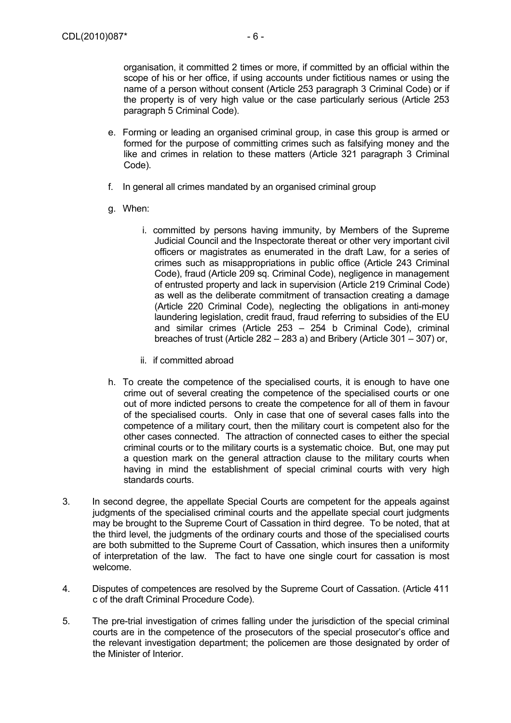organisation, it committed 2 times or more, if committed by an official within the scope of his or her office, if using accounts under fictitious names or using the name of a person without consent (Article 253 paragraph 3 Criminal Code) or if the property is of very high value or the case particularly serious (Article 253 paragraph 5 Criminal Code).

- e. Forming or leading an organised criminal group, in case this group is armed or formed for the purpose of committing crimes such as falsifying money and the like and crimes in relation to these matters (Article 321 paragraph 3 Criminal Code).
- f. In general all crimes mandated by an organised criminal group
- g. When:
	- i. committed by persons having immunity, by Members of the Supreme Judicial Council and the Inspectorate thereat or other very important civil officers or magistrates as enumerated in the draft Law, for a series of crimes such as misappropriations in public office (Article 243 Criminal Code), fraud (Article 209 sq. Criminal Code), negligence in management of entrusted property and lack in supervision (Article 219 Criminal Code) as well as the deliberate commitment of transaction creating a damage (Article 220 Criminal Code), neglecting the obligations in anti-money laundering legislation, credit fraud, fraud referring to subsidies of the EU and similar crimes (Article 253 – 254 b Criminal Code), criminal breaches of trust (Article 282 – 283 a) and Bribery (Article 301 – 307) or,
	- ii. if committed abroad
- h. To create the competence of the specialised courts, it is enough to have one crime out of several creating the competence of the specialised courts or one out of more indicted persons to create the competence for all of them in favour of the specialised courts. Only in case that one of several cases falls into the competence of a military court, then the military court is competent also for the other cases connected. The attraction of connected cases to either the special criminal courts or to the military courts is a systematic choice. But, one may put a question mark on the general attraction clause to the military courts when having in mind the establishment of special criminal courts with very high standards courts.
- 3. In second degree, the appellate Special Courts are competent for the appeals against judgments of the specialised criminal courts and the appellate special court judgments may be brought to the Supreme Court of Cassation in third degree. To be noted, that at the third level, the judgments of the ordinary courts and those of the specialised courts are both submitted to the Supreme Court of Cassation, which insures then a uniformity of interpretation of the law. The fact to have one single court for cassation is most welcome.
- 4. Disputes of competences are resolved by the Supreme Court of Cassation. (Article 411 c of the draft Criminal Procedure Code).
- 5. The pre-trial investigation of crimes falling under the jurisdiction of the special criminal courts are in the competence of the prosecutors of the special prosecutor's office and the relevant investigation department; the policemen are those designated by order of the Minister of Interior.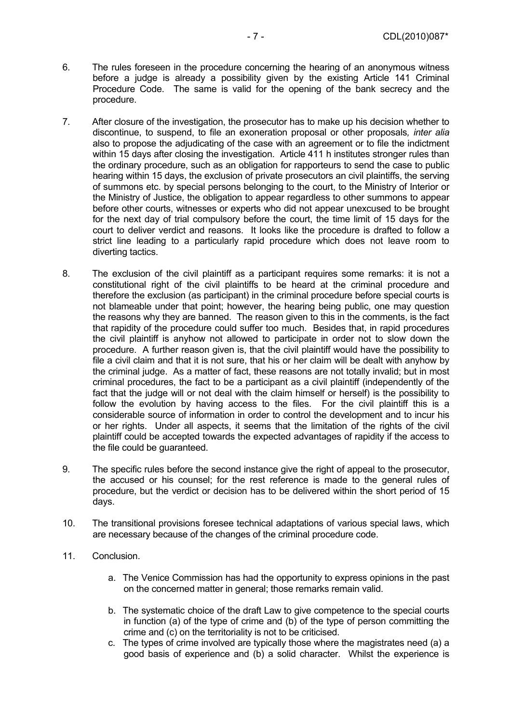- 6. The rules foreseen in the procedure concerning the hearing of an anonymous witness before a judge is already a possibility given by the existing Article 141 Criminal Procedure Code. The same is valid for the opening of the bank secrecy and the procedure.
- 7. After closure of the investigation, the prosecutor has to make up his decision whether to discontinue, to suspend, to file an exoneration proposal or other proposals*, inter alia* also to propose the adjudicating of the case with an agreement or to file the indictment within 15 days after closing the investigation. Article 411 h institutes stronger rules than the ordinary procedure, such as an obligation for rapporteurs to send the case to public hearing within 15 days, the exclusion of private prosecutors an civil plaintiffs, the serving of summons etc. by special persons belonging to the court, to the Ministry of Interior or the Ministry of Justice, the obligation to appear regardless to other summons to appear before other courts, witnesses or experts who did not appear unexcused to be brought for the next day of trial compulsory before the court, the time limit of 15 days for the court to deliver verdict and reasons. It looks like the procedure is drafted to follow a strict line leading to a particularly rapid procedure which does not leave room to diverting tactics.
- 8. The exclusion of the civil plaintiff as a participant requires some remarks: it is not a constitutional right of the civil plaintiffs to be heard at the criminal procedure and therefore the exclusion (as participant) in the criminal procedure before special courts is not blameable under that point; however, the hearing being public, one may question the reasons why they are banned. The reason given to this in the comments, is the fact that rapidity of the procedure could suffer too much. Besides that, in rapid procedures the civil plaintiff is anyhow not allowed to participate in order not to slow down the procedure. A further reason given is, that the civil plaintiff would have the possibility to file a civil claim and that it is not sure, that his or her claim will be dealt with anyhow by the criminal judge. As a matter of fact, these reasons are not totally invalid; but in most criminal procedures, the fact to be a participant as a civil plaintiff (independently of the fact that the judge will or not deal with the claim himself or herself) is the possibility to follow the evolution by having access to the files. For the civil plaintiff this is a considerable source of information in order to control the development and to incur his or her rights. Under all aspects, it seems that the limitation of the rights of the civil plaintiff could be accepted towards the expected advantages of rapidity if the access to the file could be guaranteed.
- 9. The specific rules before the second instance give the right of appeal to the prosecutor, the accused or his counsel; for the rest reference is made to the general rules of procedure, but the verdict or decision has to be delivered within the short period of 15 days.
- 10. The transitional provisions foresee technical adaptations of various special laws, which are necessary because of the changes of the criminal procedure code.
- 11. Conclusion.
	- a. The Venice Commission has had the opportunity to express opinions in the past on the concerned matter in general; those remarks remain valid.
	- b. The systematic choice of the draft Law to give competence to the special courts in function (a) of the type of crime and (b) of the type of person committing the crime and (c) on the territoriality is not to be criticised.
	- c. The types of crime involved are typically those where the magistrates need (a) a good basis of experience and (b) a solid character. Whilst the experience is